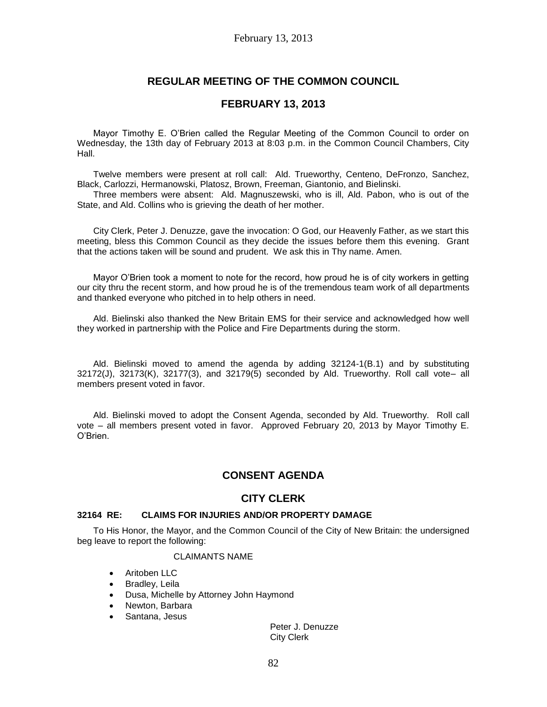# **REGULAR MEETING OF THE COMMON COUNCIL**

## **FEBRUARY 13, 2013**

Mayor Timothy E. O'Brien called the Regular Meeting of the Common Council to order on Wednesday, the 13th day of February 2013 at 8:03 p.m. in the Common Council Chambers, City Hall.

Twelve members were present at roll call: Ald. Trueworthy, Centeno, DeFronzo, Sanchez, Black, Carlozzi, Hermanowski, Platosz, Brown, Freeman, Giantonio, and Bielinski.

Three members were absent: Ald. Magnuszewski, who is ill, Ald. Pabon, who is out of the State, and Ald. Collins who is grieving the death of her mother.

City Clerk, Peter J. Denuzze, gave the invocation: O God, our Heavenly Father, as we start this meeting, bless this Common Council as they decide the issues before them this evening. Grant that the actions taken will be sound and prudent. We ask this in Thy name. Amen.

Mayor O'Brien took a moment to note for the record, how proud he is of city workers in getting our city thru the recent storm, and how proud he is of the tremendous team work of all departments and thanked everyone who pitched in to help others in need.

Ald. Bielinski also thanked the New Britain EMS for their service and acknowledged how well they worked in partnership with the Police and Fire Departments during the storm.

Ald. Bielinski moved to amend the agenda by adding 32124-1(B.1) and by substituting 32172(J), 32173(K), 32177(3), and 32179(5) seconded by Ald. Trueworthy. Roll call vote– all members present voted in favor.

Ald. Bielinski moved to adopt the Consent Agenda, seconded by Ald. Trueworthy. Roll call vote – all members present voted in favor. Approved February 20, 2013 by Mayor Timothy E. O'Brien.

# **CONSENT AGENDA**

## **CITY CLERK**

### **32164 RE: CLAIMS FOR INJURIES AND/OR PROPERTY DAMAGE**

To His Honor, the Mayor, and the Common Council of the City of New Britain: the undersigned beg leave to report the following:

### CLAIMANTS NAME

- Aritoben LLC
- Bradley, Leila
- Dusa, Michelle by Attorney John Haymond
- Newton, Barbara
- Santana, Jesus

Peter J. Denuzze City Clerk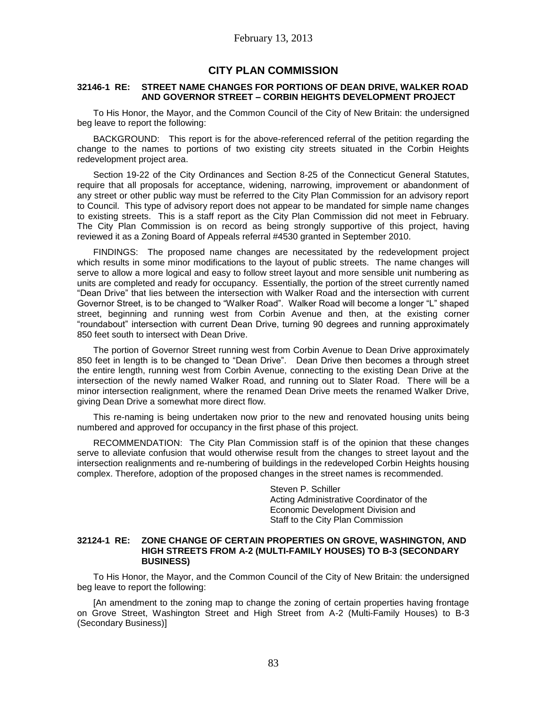# **CITY PLAN COMMISSION**

#### **32146-1 RE: STREET NAME CHANGES FOR PORTIONS OF DEAN DRIVE, WALKER ROAD AND GOVERNOR STREET – CORBIN HEIGHTS DEVELOPMENT PROJECT**

To His Honor, the Mayor, and the Common Council of the City of New Britain: the undersigned beg leave to report the following:

BACKGROUND: This report is for the above-referenced referral of the petition regarding the change to the names to portions of two existing city streets situated in the Corbin Heights redevelopment project area.

Section 19-22 of the City Ordinances and Section 8-25 of the Connecticut General Statutes, require that all proposals for acceptance, widening, narrowing, improvement or abandonment of any street or other public way must be referred to the City Plan Commission for an advisory report to Council. This type of advisory report does not appear to be mandated for simple name changes to existing streets. This is a staff report as the City Plan Commission did not meet in February. The City Plan Commission is on record as being strongly supportive of this project, having reviewed it as a Zoning Board of Appeals referral #4530 granted in September 2010.

FINDINGS: The proposed name changes are necessitated by the redevelopment project which results in some minor modifications to the layout of public streets. The name changes will serve to allow a more logical and easy to follow street layout and more sensible unit numbering as units are completed and ready for occupancy. Essentially, the portion of the street currently named "Dean Drive" that lies between the intersection with Walker Road and the intersection with current Governor Street, is to be changed to "Walker Road". Walker Road will become a longer "L" shaped street, beginning and running west from Corbin Avenue and then, at the existing corner "roundabout" intersection with current Dean Drive, turning 90 degrees and running approximately 850 feet south to intersect with Dean Drive.

The portion of Governor Street running west from Corbin Avenue to Dean Drive approximately 850 feet in length is to be changed to "Dean Drive". Dean Drive then becomes a through street the entire length, running west from Corbin Avenue, connecting to the existing Dean Drive at the intersection of the newly named Walker Road, and running out to Slater Road. There will be a minor intersection realignment, where the renamed Dean Drive meets the renamed Walker Drive, giving Dean Drive a somewhat more direct flow.

This re-naming is being undertaken now prior to the new and renovated housing units being numbered and approved for occupancy in the first phase of this project.

RECOMMENDATION: The City Plan Commission staff is of the opinion that these changes serve to alleviate confusion that would otherwise result from the changes to street layout and the intersection realignments and re-numbering of buildings in the redeveloped Corbin Heights housing complex. Therefore, adoption of the proposed changes in the street names is recommended.

> Steven P. Schiller Acting Administrative Coordinator of the Economic Development Division and Staff to the City Plan Commission

### **32124-1 RE: ZONE CHANGE OF CERTAIN PROPERTIES ON GROVE, WASHINGTON, AND HIGH STREETS FROM A-2 (MULTI-FAMILY HOUSES) TO B-3 (SECONDARY BUSINESS)**

To His Honor, the Mayor, and the Common Council of the City of New Britain: the undersigned beg leave to report the following:

[An amendment to the zoning map to change the zoning of certain properties having frontage on Grove Street, Washington Street and High Street from A-2 (Multi-Family Houses) to B-3 (Secondary Business)]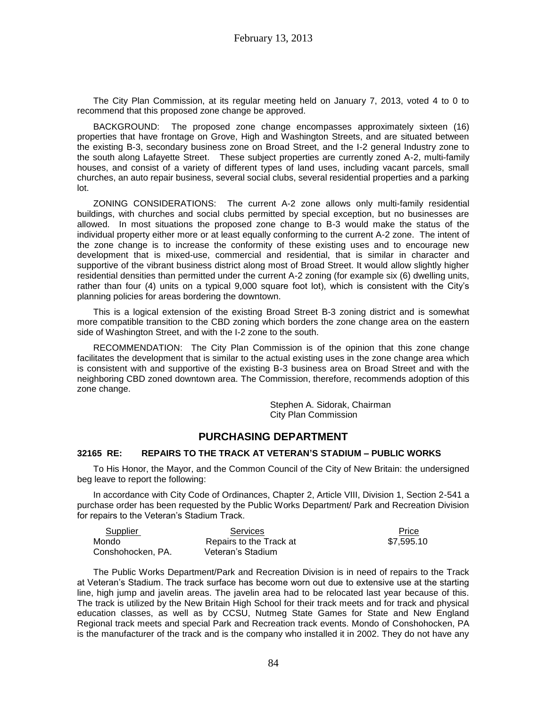The City Plan Commission, at its regular meeting held on January 7, 2013, voted 4 to 0 to recommend that this proposed zone change be approved.

BACKGROUND: The proposed zone change encompasses approximately sixteen (16) properties that have frontage on Grove, High and Washington Streets, and are situated between the existing B-3, secondary business zone on Broad Street, and the I-2 general Industry zone to the south along Lafayette Street. These subject properties are currently zoned A-2, multi-family houses, and consist of a variety of different types of land uses, including vacant parcels, small churches, an auto repair business, several social clubs, several residential properties and a parking lot.

ZONING CONSIDERATIONS: The current A-2 zone allows only multi-family residential buildings, with churches and social clubs permitted by special exception, but no businesses are allowed. In most situations the proposed zone change to B-3 would make the status of the individual property either more or at least equally conforming to the current A-2 zone. The intent of the zone change is to increase the conformity of these existing uses and to encourage new development that is mixed-use, commercial and residential, that is similar in character and supportive of the vibrant business district along most of Broad Street. It would allow slightly higher residential densities than permitted under the current A-2 zoning (for example six (6) dwelling units, rather than four (4) units on a typical 9,000 square foot lot), which is consistent with the City's planning policies for areas bordering the downtown.

This is a logical extension of the existing Broad Street B-3 zoning district and is somewhat more compatible transition to the CBD zoning which borders the zone change area on the eastern side of Washington Street, and with the I-2 zone to the south.

RECOMMENDATION: The City Plan Commission is of the opinion that this zone change facilitates the development that is similar to the actual existing uses in the zone change area which is consistent with and supportive of the existing B-3 business area on Broad Street and with the neighboring CBD zoned downtown area. The Commission, therefore, recommends adoption of this zone change.

> Stephen A. Sidorak, Chairman City Plan Commission

# **PURCHASING DEPARTMENT**

### **32165 RE: REPAIRS TO THE TRACK AT VETERAN'S STADIUM – PUBLIC WORKS**

To His Honor, the Mayor, and the Common Council of the City of New Britain: the undersigned beg leave to report the following:

In accordance with City Code of Ordinances, Chapter 2, Article VIII, Division 1, Section 2-541 a purchase order has been requested by the Public Works Department/ Park and Recreation Division for repairs to the Veteran's Stadium Track.

| Supplier          | Services                | Price      |
|-------------------|-------------------------|------------|
| Mondo             | Repairs to the Track at | \$7.595.10 |
| Conshohocken, PA. | Veteran's Stadium       |            |

The Public Works Department/Park and Recreation Division is in need of repairs to the Track at Veteran's Stadium. The track surface has become worn out due to extensive use at the starting line, high jump and javelin areas. The javelin area had to be relocated last year because of this. The track is utilized by the New Britain High School for their track meets and for track and physical education classes, as well as by CCSU, Nutmeg State Games for State and New England Regional track meets and special Park and Recreation track events. Mondo of Conshohocken, PA is the manufacturer of the track and is the company who installed it in 2002. They do not have any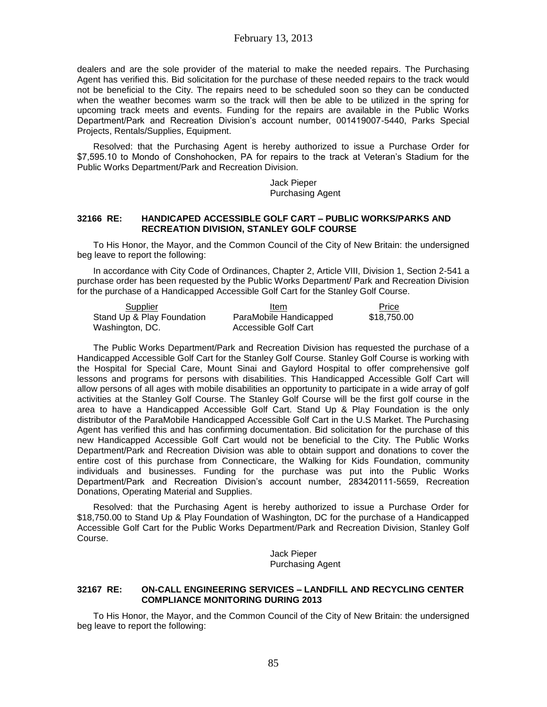dealers and are the sole provider of the material to make the needed repairs. The Purchasing Agent has verified this. Bid solicitation for the purchase of these needed repairs to the track would not be beneficial to the City. The repairs need to be scheduled soon so they can be conducted when the weather becomes warm so the track will then be able to be utilized in the spring for upcoming track meets and events. Funding for the repairs are available in the Public Works Department/Park and Recreation Division's account number, 001419007-5440, Parks Special Projects, Rentals/Supplies, Equipment.

Resolved: that the Purchasing Agent is hereby authorized to issue a Purchase Order for \$7,595.10 to Mondo of Conshohocken, PA for repairs to the track at Veteran's Stadium for the Public Works Department/Park and Recreation Division.

> Jack Pieper Purchasing Agent

#### **32166 RE: HANDICAPED ACCESSIBLE GOLF CART – PUBLIC WORKS/PARKS AND RECREATION DIVISION, STANLEY GOLF COURSE**

To His Honor, the Mayor, and the Common Council of the City of New Britain: the undersigned beg leave to report the following:

In accordance with City Code of Ordinances, Chapter 2, Article VIII, Division 1, Section 2-541 a purchase order has been requested by the Public Works Department/ Park and Recreation Division for the purchase of a Handicapped Accessible Golf Cart for the Stanley Golf Course.

| Supplier                   | Item                   | Price       |
|----------------------------|------------------------|-------------|
| Stand Up & Play Foundation | ParaMobile Handicapped | \$18,750.00 |
| Washington, DC.            | Accessible Golf Cart   |             |

The Public Works Department/Park and Recreation Division has requested the purchase of a Handicapped Accessible Golf Cart for the Stanley Golf Course. Stanley Golf Course is working with the Hospital for Special Care, Mount Sinai and Gaylord Hospital to offer comprehensive golf lessons and programs for persons with disabilities. This Handicapped Accessible Golf Cart will allow persons of all ages with mobile disabilities an opportunity to participate in a wide array of golf activities at the Stanley Golf Course. The Stanley Golf Course will be the first golf course in the area to have a Handicapped Accessible Golf Cart. Stand Up & Play Foundation is the only distributor of the ParaMobile Handicapped Accessible Golf Cart in the U.S Market. The Purchasing Agent has verified this and has confirming documentation. Bid solicitation for the purchase of this new Handicapped Accessible Golf Cart would not be beneficial to the City. The Public Works Department/Park and Recreation Division was able to obtain support and donations to cover the entire cost of this purchase from Connecticare, the Walking for Kids Foundation, community individuals and businesses. Funding for the purchase was put into the Public Works Department/Park and Recreation Division's account number, 283420111-5659, Recreation Donations, Operating Material and Supplies.

Resolved: that the Purchasing Agent is hereby authorized to issue a Purchase Order for \$18,750.00 to Stand Up & Play Foundation of Washington, DC for the purchase of a Handicapped Accessible Golf Cart for the Public Works Department/Park and Recreation Division, Stanley Golf Course.

> Jack Pieper Purchasing Agent

### **32167 RE: ON-CALL ENGINEERING SERVICES – LANDFILL AND RECYCLING CENTER COMPLIANCE MONITORING DURING 2013**

To His Honor, the Mayor, and the Common Council of the City of New Britain: the undersigned beg leave to report the following: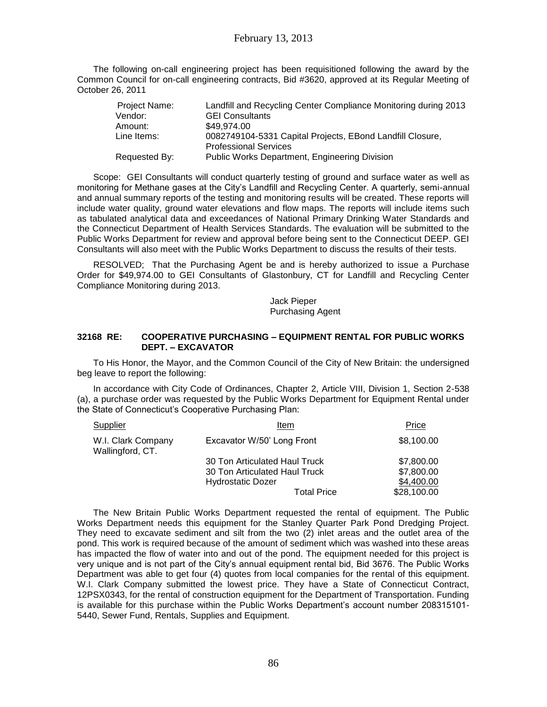The following on-call engineering project has been requisitioned following the award by the Common Council for on-call engineering contracts, Bid #3620, approved at its Regular Meeting of October 26, 2011

| Project Name: | Landfill and Recycling Center Compliance Monitoring during 2013                           |
|---------------|-------------------------------------------------------------------------------------------|
| Vendor:       | <b>GEI Consultants</b>                                                                    |
| Amount:       | \$49.974.00                                                                               |
| Line Items:   | 0082749104-5331 Capital Projects, EBond Landfill Closure,<br><b>Professional Services</b> |
| Requested By: | Public Works Department, Engineering Division                                             |

Scope: GEI Consultants will conduct quarterly testing of ground and surface water as well as monitoring for Methane gases at the City's Landfill and Recycling Center. A quarterly, semi-annual and annual summary reports of the testing and monitoring results will be created. These reports will include water quality, ground water elevations and flow maps. The reports will include items such as tabulated analytical data and exceedances of National Primary Drinking Water Standards and the Connecticut Department of Health Services Standards. The evaluation will be submitted to the Public Works Department for review and approval before being sent to the Connecticut DEEP. GEI Consultants will also meet with the Public Works Department to discuss the results of their tests.

RESOLVED; That the Purchasing Agent be and is hereby authorized to issue a Purchase Order for \$49,974.00 to GEI Consultants of Glastonbury, CT for Landfill and Recycling Center Compliance Monitoring during 2013.

> Jack Pieper Purchasing Agent

### **32168 RE: COOPERATIVE PURCHASING – EQUIPMENT RENTAL FOR PUBLIC WORKS DEPT. – EXCAVATOR**

To His Honor, the Mayor, and the Common Council of the City of New Britain: the undersigned beg leave to report the following:

In accordance with City Code of Ordinances, Chapter 2, Article VIII, Division 1, Section 2-538 (a), a purchase order was requested by the Public Works Department for Equipment Rental under the State of Connecticut's Cooperative Purchasing Plan:

| <b>Supplier</b>                        | Item                          | Price       |
|----------------------------------------|-------------------------------|-------------|
| W.I. Clark Company<br>Wallingford, CT. | Excavator W/50' Long Front    | \$8,100.00  |
|                                        | 30 Ton Articulated Haul Truck | \$7,800.00  |
|                                        | 30 Ton Articulated Haul Truck | \$7,800.00  |
|                                        | <b>Hydrostatic Dozer</b>      | \$4,400.00  |
|                                        | <b>Total Price</b>            | \$28,100.00 |

The New Britain Public Works Department requested the rental of equipment. The Public Works Department needs this equipment for the Stanley Quarter Park Pond Dredging Project. They need to excavate sediment and silt from the two (2) inlet areas and the outlet area of the pond. This work is required because of the amount of sediment which was washed into these areas has impacted the flow of water into and out of the pond. The equipment needed for this project is very unique and is not part of the City's annual equipment rental bid, Bid 3676. The Public Works Department was able to get four (4) quotes from local companies for the rental of this equipment. W.I. Clark Company submitted the lowest price. They have a State of Connecticut Contract, 12PSX0343, for the rental of construction equipment for the Department of Transportation. Funding is available for this purchase within the Public Works Department's account number 208315101- 5440, Sewer Fund, Rentals, Supplies and Equipment.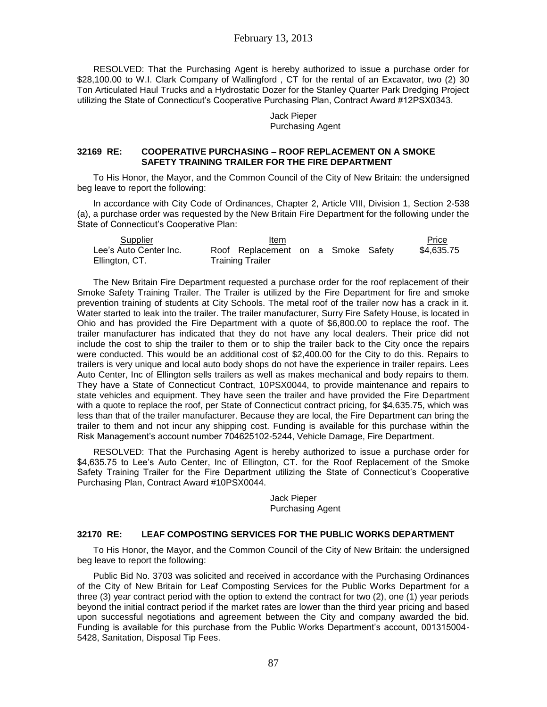## February 13, 2013

RESOLVED: That the Purchasing Agent is hereby authorized to issue a purchase order for \$28,100.00 to W.I. Clark Company of Wallingford, CT for the rental of an Excavator, two (2) 30 Ton Articulated Haul Trucks and a Hydrostatic Dozer for the Stanley Quarter Park Dredging Project utilizing the State of Connecticut's Cooperative Purchasing Plan, Contract Award #12PSX0343.

> Jack Pieper Purchasing Agent

#### **32169 RE: COOPERATIVE PURCHASING – ROOF REPLACEMENT ON A SMOKE SAFETY TRAINING TRAILER FOR THE FIRE DEPARTMENT**

To His Honor, the Mayor, and the Common Council of the City of New Britain: the undersigned beg leave to report the following:

In accordance with City Code of Ordinances, Chapter 2, Article VIII, Division 1, Section 2-538 (a), a purchase order was requested by the New Britain Fire Department for the following under the State of Connecticut's Cooperative Plan:

| Supplier               | Item                               |  |  | Price      |
|------------------------|------------------------------------|--|--|------------|
| Lee's Auto Center Inc. | Roof Replacement on a Smoke Safety |  |  | \$4,635.75 |
| Ellington, CT.         | Training Trailer                   |  |  |            |

The New Britain Fire Department requested a purchase order for the roof replacement of their Smoke Safety Training Trailer. The Trailer is utilized by the Fire Department for fire and smoke prevention training of students at City Schools. The metal roof of the trailer now has a crack in it. Water started to leak into the trailer. The trailer manufacturer, Surry Fire Safety House, is located in Ohio and has provided the Fire Department with a quote of \$6,800.00 to replace the roof. The trailer manufacturer has indicated that they do not have any local dealers. Their price did not include the cost to ship the trailer to them or to ship the trailer back to the City once the repairs were conducted. This would be an additional cost of \$2,400.00 for the City to do this. Repairs to trailers is very unique and local auto body shops do not have the experience in trailer repairs. Lees Auto Center, Inc of Ellington sells trailers as well as makes mechanical and body repairs to them. They have a State of Connecticut Contract, 10PSX0044, to provide maintenance and repairs to state vehicles and equipment. They have seen the trailer and have provided the Fire Department with a quote to replace the roof, per State of Connecticut contract pricing, for \$4,635.75, which was less than that of the trailer manufacturer. Because they are local, the Fire Department can bring the trailer to them and not incur any shipping cost. Funding is available for this purchase within the Risk Management's account number 704625102-5244, Vehicle Damage, Fire Department.

RESOLVED: That the Purchasing Agent is hereby authorized to issue a purchase order for \$4,635.75 to Lee's Auto Center, Inc of Ellington, CT. for the Roof Replacement of the Smoke Safety Training Trailer for the Fire Department utilizing the State of Connecticut's Cooperative Purchasing Plan, Contract Award #10PSX0044.

> Jack Pieper Purchasing Agent

### **32170 RE: LEAF COMPOSTING SERVICES FOR THE PUBLIC WORKS DEPARTMENT**

To His Honor, the Mayor, and the Common Council of the City of New Britain: the undersigned beg leave to report the following:

Public Bid No. 3703 was solicited and received in accordance with the Purchasing Ordinances of the City of New Britain for Leaf Composting Services for the Public Works Department for a three (3) year contract period with the option to extend the contract for two (2), one (1) year periods beyond the initial contract period if the market rates are lower than the third year pricing and based upon successful negotiations and agreement between the City and company awarded the bid. Funding is available for this purchase from the Public Works Department's account, 001315004- 5428, Sanitation, Disposal Tip Fees.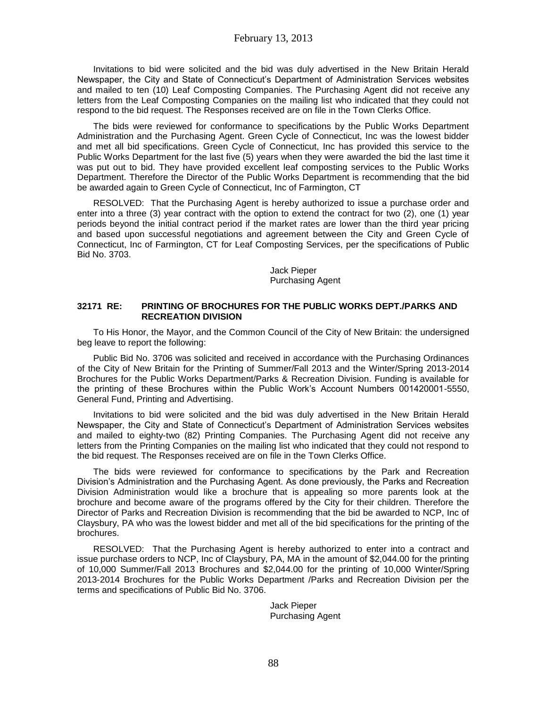Invitations to bid were solicited and the bid was duly advertised in the New Britain Herald Newspaper, the City and State of Connecticut's Department of Administration Services websites and mailed to ten (10) Leaf Composting Companies. The Purchasing Agent did not receive any letters from the Leaf Composting Companies on the mailing list who indicated that they could not respond to the bid request. The Responses received are on file in the Town Clerks Office.

The bids were reviewed for conformance to specifications by the Public Works Department Administration and the Purchasing Agent. Green Cycle of Connecticut, Inc was the lowest bidder and met all bid specifications. Green Cycle of Connecticut, Inc has provided this service to the Public Works Department for the last five (5) years when they were awarded the bid the last time it was put out to bid. They have provided excellent leaf composting services to the Public Works Department. Therefore the Director of the Public Works Department is recommending that the bid be awarded again to Green Cycle of Connecticut, Inc of Farmington, CT

RESOLVED: That the Purchasing Agent is hereby authorized to issue a purchase order and enter into a three (3) year contract with the option to extend the contract for two (2), one (1) year periods beyond the initial contract period if the market rates are lower than the third year pricing and based upon successful negotiations and agreement between the City and Green Cycle of Connecticut, Inc of Farmington, CT for Leaf Composting Services, per the specifications of Public Bid No. 3703.

> Jack Pieper Purchasing Agent

### **32171 RE: PRINTING OF BROCHURES FOR THE PUBLIC WORKS DEPT./PARKS AND RECREATION DIVISION**

To His Honor, the Mayor, and the Common Council of the City of New Britain: the undersigned beg leave to report the following:

Public Bid No. 3706 was solicited and received in accordance with the Purchasing Ordinances of the City of New Britain for the Printing of Summer/Fall 2013 and the Winter/Spring 2013-2014 Brochures for the Public Works Department/Parks & Recreation Division. Funding is available for the printing of these Brochures within the Public Work's Account Numbers 001420001-5550, General Fund, Printing and Advertising.

Invitations to bid were solicited and the bid was duly advertised in the New Britain Herald Newspaper, the City and State of Connecticut's Department of Administration Services websites and mailed to eighty-two (82) Printing Companies. The Purchasing Agent did not receive any letters from the Printing Companies on the mailing list who indicated that they could not respond to the bid request. The Responses received are on file in the Town Clerks Office.

The bids were reviewed for conformance to specifications by the Park and Recreation Division's Administration and the Purchasing Agent. As done previously, the Parks and Recreation Division Administration would like a brochure that is appealing so more parents look at the brochure and become aware of the programs offered by the City for their children. Therefore the Director of Parks and Recreation Division is recommending that the bid be awarded to NCP, Inc of Claysbury, PA who was the lowest bidder and met all of the bid specifications for the printing of the brochures.

RESOLVED: That the Purchasing Agent is hereby authorized to enter into a contract and issue purchase orders to NCP, Inc of Claysbury, PA, MA in the amount of \$2,044.00 for the printing of 10,000 Summer/Fall 2013 Brochures and \$2,044.00 for the printing of 10,000 Winter/Spring 2013-2014 Brochures for the Public Works Department /Parks and Recreation Division per the terms and specifications of Public Bid No. 3706.

> Jack Pieper Purchasing Agent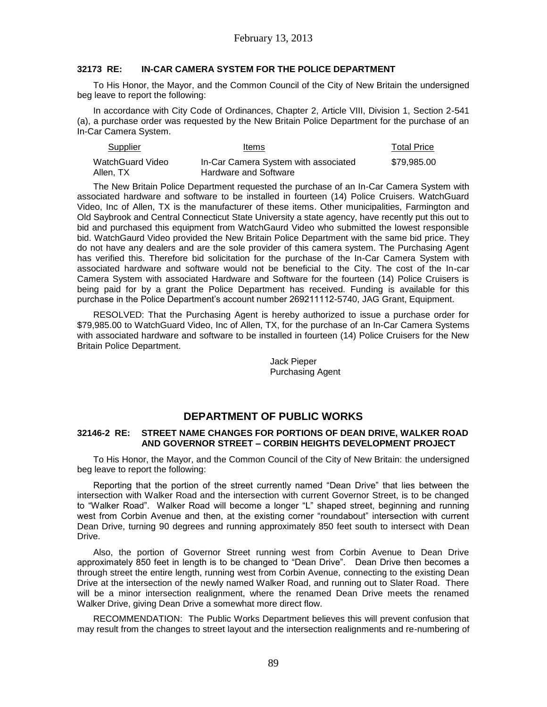### **32173 RE: IN-CAR CAMERA SYSTEM FOR THE POLICE DEPARTMENT**

To His Honor, the Mayor, and the Common Council of the City of New Britain the undersigned beg leave to report the following:

In accordance with City Code of Ordinances, Chapter 2, Article VIII, Division 1, Section 2-541 (a), a purchase order was requested by the New Britain Police Department for the purchase of an In-Car Camera System.

| Supplier         | Items                                | <b>Total Price</b> |
|------------------|--------------------------------------|--------------------|
| WatchGuard Video | In-Car Camera System with associated | \$79.985.00        |
| Allen, TX        | Hardware and Software                |                    |

The New Britain Police Department requested the purchase of an In-Car Camera System with associated hardware and software to be installed in fourteen (14) Police Cruisers. WatchGuard Video, Inc of Allen, TX is the manufacturer of these items. Other municipalities, Farmington and Old Saybrook and Central Connecticut State University a state agency, have recently put this out to bid and purchased this equipment from WatchGaurd Video who submitted the lowest responsible bid. WatchGaurd Video provided the New Britain Police Department with the same bid price. They do not have any dealers and are the sole provider of this camera system. The Purchasing Agent has verified this. Therefore bid solicitation for the purchase of the In-Car Camera System with associated hardware and software would not be beneficial to the City. The cost of the In-car Camera System with associated Hardware and Software for the fourteen (14) Police Cruisers is being paid for by a grant the Police Department has received. Funding is available for this purchase in the Police Department's account number 269211112-5740, JAG Grant, Equipment.

RESOLVED: That the Purchasing Agent is hereby authorized to issue a purchase order for \$79,985.00 to WatchGuard Video, Inc of Allen, TX, for the purchase of an In-Car Camera Systems with associated hardware and software to be installed in fourteen (14) Police Cruisers for the New Britain Police Department.

> Jack Pieper Purchasing Agent

# **DEPARTMENT OF PUBLIC WORKS**

### **32146-2 RE: STREET NAME CHANGES FOR PORTIONS OF DEAN DRIVE, WALKER ROAD AND GOVERNOR STREET – CORBIN HEIGHTS DEVELOPMENT PROJECT**

To His Honor, the Mayor, and the Common Council of the City of New Britain: the undersigned beg leave to report the following:

Reporting that the portion of the street currently named "Dean Drive" that lies between the intersection with Walker Road and the intersection with current Governor Street, is to be changed to "Walker Road". Walker Road will become a longer "L" shaped street, beginning and running west from Corbin Avenue and then, at the existing corner "roundabout" intersection with current Dean Drive, turning 90 degrees and running approximately 850 feet south to intersect with Dean Drive.

Also, the portion of Governor Street running west from Corbin Avenue to Dean Drive approximately 850 feet in length is to be changed to "Dean Drive". Dean Drive then becomes a through street the entire length, running west from Corbin Avenue, connecting to the existing Dean Drive at the intersection of the newly named Walker Road, and running out to Slater Road. There will be a minor intersection realignment, where the renamed Dean Drive meets the renamed Walker Drive, giving Dean Drive a somewhat more direct flow.

RECOMMENDATION: The Public Works Department believes this will prevent confusion that may result from the changes to street layout and the intersection realignments and re-numbering of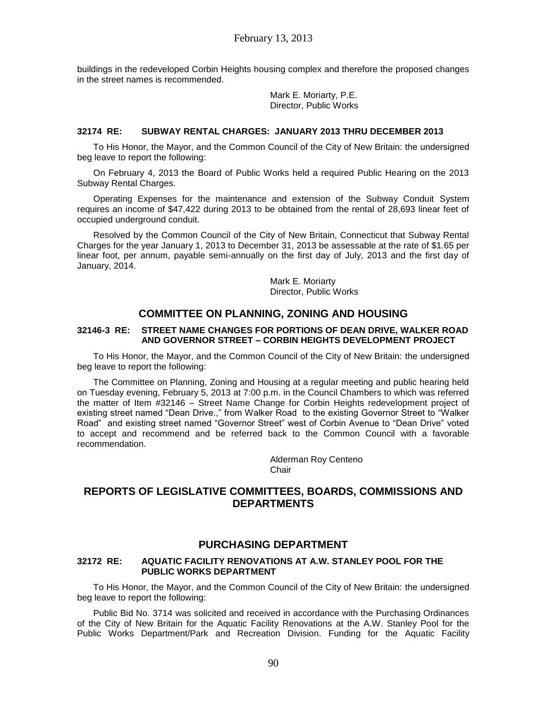buildings in the redeveloped Corbin Heights housing complex and therefore the proposed changes in the street names is recommended.

> Mark E. Moriarty, P.E. Director, Public Works

#### **32174 RE: SUBWAY RENTAL CHARGES: JANUARY 2013 THRU DECEMBER 2013**

To His Honor, the Mayor, and the Common Council of the City of New Britain: the undersigned beg leave to report the following:

On February 4, 2013 the Board of Public Works held a required Public Hearing on the 2013 Subway Rental Charges.

Operating Expenses for the maintenance and extension of the Subway Conduit System requires an income of \$47,422 during 2013 to be obtained from the rental of 28,693 linear feet of occupied underground conduit.

Resolved by the Common Council of the City of New Britain, Connecticut that Subway Rental Charges for the year January 1, 2013 to December 31, 2013 be assessable at the rate of \$1.65 per linear foot, per annum, payable semi-annually on the first day of July, 2013 and the first day of January, 2014.

> Mark E. Moriarty Director, Public Works

## **COMMITTEE ON PLANNING, ZONING AND HOUSING**

### **32146-3 RE: STREET NAME CHANGES FOR PORTIONS OF DEAN DRIVE, WALKER ROAD AND GOVERNOR STREET – CORBIN HEIGHTS DEVELOPMENT PROJECT**

To His Honor, the Mayor, and the Common Council of the City of New Britain: the undersigned beg leave to report the following:

The Committee on Planning, Zoning and Housing at a regular meeting and public hearing held on Tuesday evening, February 5, 2013 at 7:00 p.m. in the Council Chambers to which was referred the matter of Item #32146 – Street Name Change for Corbin Heights redevelopment project of existing street named "Dean Drive.," from Walker Road to the existing Governor Street to "Walker Road" and existing street named "Governor Street" west of Corbin Avenue to "Dean Drive" voted to accept and recommend and be referred back to the Common Council with a favorable recommendation.

> Alderman Roy Centeno **Chair**

# **REPORTS OF LEGISLATIVE COMMITTEES, BOARDS, COMMISSIONS AND DEPARTMENTS**

## **PURCHASING DEPARTMENT**

#### **32172 RE: AQUATIC FACILITY RENOVATIONS AT A.W. STANLEY POOL FOR THE PUBLIC WORKS DEPARTMENT**

To His Honor, the Mayor, and the Common Council of the City of New Britain: the undersigned beg leave to report the following:

Public Bid No. 3714 was solicited and received in accordance with the Purchasing Ordinances of the City of New Britain for the Aquatic Facility Renovations at the A.W. Stanley Pool for the Public Works Department/Park and Recreation Division. Funding for the Aquatic Facility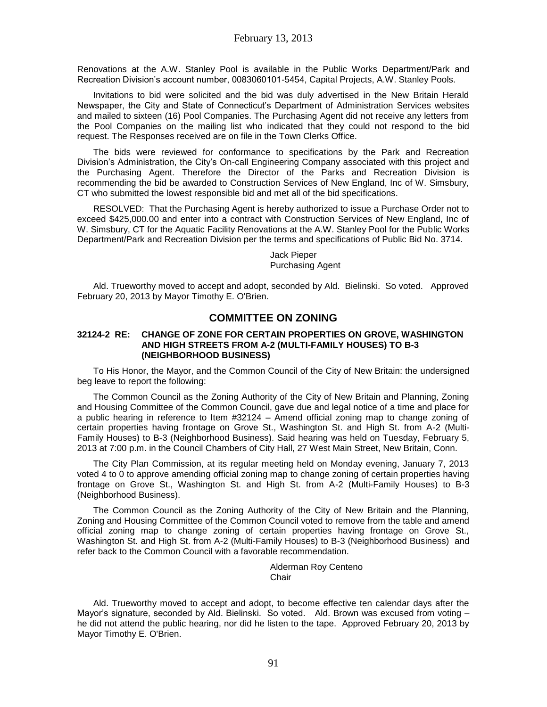Renovations at the A.W. Stanley Pool is available in the Public Works Department/Park and Recreation Division's account number, 0083060101-5454, Capital Projects, A.W. Stanley Pools.

Invitations to bid were solicited and the bid was duly advertised in the New Britain Herald Newspaper, the City and State of Connecticut's Department of Administration Services websites and mailed to sixteen (16) Pool Companies. The Purchasing Agent did not receive any letters from the Pool Companies on the mailing list who indicated that they could not respond to the bid request. The Responses received are on file in the Town Clerks Office.

The bids were reviewed for conformance to specifications by the Park and Recreation Division's Administration, the City's On-call Engineering Company associated with this project and the Purchasing Agent. Therefore the Director of the Parks and Recreation Division is recommending the bid be awarded to Construction Services of New England, Inc of W. Simsbury, CT who submitted the lowest responsible bid and met all of the bid specifications.

RESOLVED: That the Purchasing Agent is hereby authorized to issue a Purchase Order not to exceed \$425,000.00 and enter into a contract with Construction Services of New England, Inc of W. Simsbury, CT for the Aquatic Facility Renovations at the A.W. Stanley Pool for the Public Works Department/Park and Recreation Division per the terms and specifications of Public Bid No. 3714.

> Jack Pieper Purchasing Agent

Ald. Trueworthy moved to accept and adopt, seconded by Ald. Bielinski. So voted. Approved February 20, 2013 by Mayor Timothy E. O'Brien.

## **COMMITTEE ON ZONING**

#### **32124-2 RE: CHANGE OF ZONE FOR CERTAIN PROPERTIES ON GROVE, WASHINGTON AND HIGH STREETS FROM A-2 (MULTI-FAMILY HOUSES) TO B-3 (NEIGHBORHOOD BUSINESS)**

To His Honor, the Mayor, and the Common Council of the City of New Britain: the undersigned beg leave to report the following:

The Common Council as the Zoning Authority of the City of New Britain and Planning, Zoning and Housing Committee of the Common Council, gave due and legal notice of a time and place for a public hearing in reference to Item #32124 – Amend official zoning map to change zoning of certain properties having frontage on Grove St., Washington St. and High St. from A-2 (Multi-Family Houses) to B-3 (Neighborhood Business). Said hearing was held on Tuesday, February 5, 2013 at 7:00 p.m. in the Council Chambers of City Hall, 27 West Main Street, New Britain, Conn.

The City Plan Commission, at its regular meeting held on Monday evening, January 7, 2013 voted 4 to 0 to approve amending official zoning map to change zoning of certain properties having frontage on Grove St., Washington St. and High St. from A-2 (Multi-Family Houses) to B-3 (Neighborhood Business).

The Common Council as the Zoning Authority of the City of New Britain and the Planning, Zoning and Housing Committee of the Common Council voted to remove from the table and amend official zoning map to change zoning of certain properties having frontage on Grove St., Washington St. and High St. from A-2 (Multi-Family Houses) to B-3 (Neighborhood Business) and refer back to the Common Council with a favorable recommendation.

> Alderman Roy Centeno **Chair**

Ald. Trueworthy moved to accept and adopt, to become effective ten calendar days after the Mayor's signature, seconded by Ald. Bielinski. So voted. Ald. Brown was excused from voting he did not attend the public hearing, nor did he listen to the tape. Approved February 20, 2013 by Mayor Timothy E. O'Brien.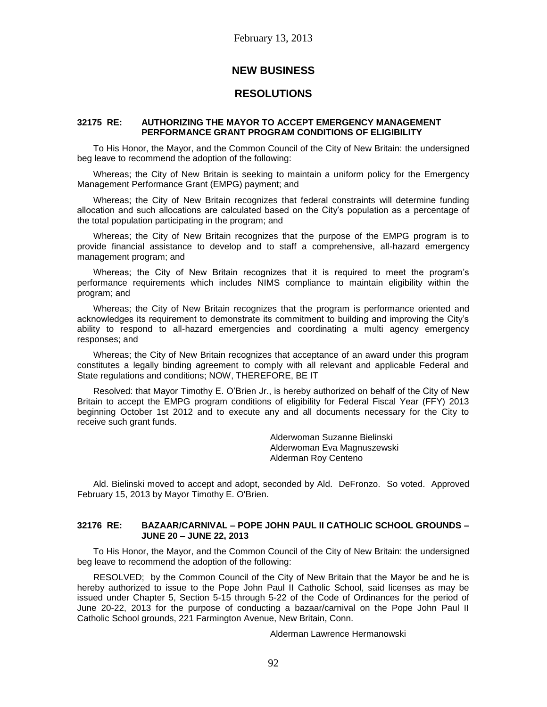# **NEW BUSINESS**

# **RESOLUTIONS**

### **32175 RE: AUTHORIZING THE MAYOR TO ACCEPT EMERGENCY MANAGEMENT PERFORMANCE GRANT PROGRAM CONDITIONS OF ELIGIBILITY**

To His Honor, the Mayor, and the Common Council of the City of New Britain: the undersigned beg leave to recommend the adoption of the following:

Whereas; the City of New Britain is seeking to maintain a uniform policy for the Emergency Management Performance Grant (EMPG) payment; and

Whereas; the City of New Britain recognizes that federal constraints will determine funding allocation and such allocations are calculated based on the City's population as a percentage of the total population participating in the program; and

Whereas; the City of New Britain recognizes that the purpose of the EMPG program is to provide financial assistance to develop and to staff a comprehensive, all-hazard emergency management program; and

Whereas; the City of New Britain recognizes that it is required to meet the program's performance requirements which includes NIMS compliance to maintain eligibility within the program; and

Whereas; the City of New Britain recognizes that the program is performance oriented and acknowledges its requirement to demonstrate its commitment to building and improving the City's ability to respond to all-hazard emergencies and coordinating a multi agency emergency responses; and

Whereas; the City of New Britain recognizes that acceptance of an award under this program constitutes a legally binding agreement to comply with all relevant and applicable Federal and State regulations and conditions; NOW, THEREFORE, BE IT

Resolved: that Mayor Timothy E. O'Brien Jr., is hereby authorized on behalf of the City of New Britain to accept the EMPG program conditions of eligibility for Federal Fiscal Year (FFY) 2013 beginning October 1st 2012 and to execute any and all documents necessary for the City to receive such grant funds.

> Alderwoman Suzanne Bielinski Alderwoman Eva Magnuszewski Alderman Roy Centeno

Ald. Bielinski moved to accept and adopt, seconded by Ald. DeFronzo. So voted. Approved February 15, 2013 by Mayor Timothy E. O'Brien.

### **32176 RE: BAZAAR/CARNIVAL – POPE JOHN PAUL II CATHOLIC SCHOOL GROUNDS – JUNE 20 – JUNE 22, 2013**

To His Honor, the Mayor, and the Common Council of the City of New Britain: the undersigned beg leave to recommend the adoption of the following:

RESOLVED; by the Common Council of the City of New Britain that the Mayor be and he is hereby authorized to issue to the Pope John Paul II Catholic School, said licenses as may be issued under Chapter 5, Section 5-15 through 5-22 of the Code of Ordinances for the period of June 20-22, 2013 for the purpose of conducting a bazaar/carnival on the Pope John Paul II Catholic School grounds, 221 Farmington Avenue, New Britain, Conn.

Alderman Lawrence Hermanowski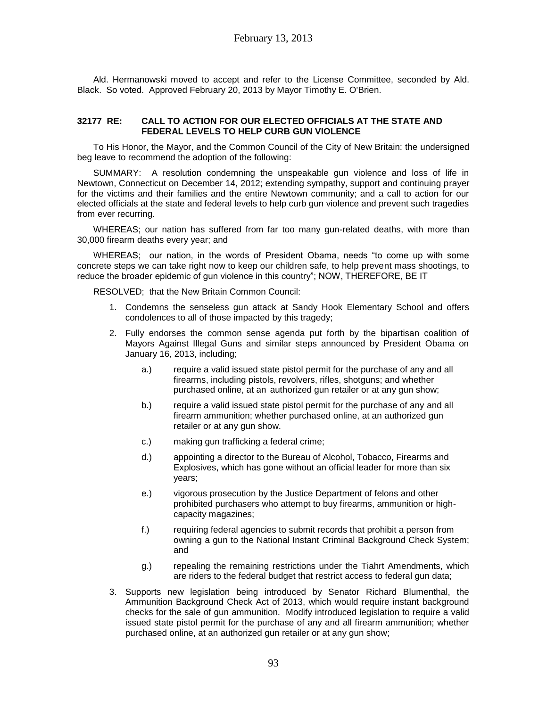Ald. Hermanowski moved to accept and refer to the License Committee, seconded by Ald. Black. So voted. Approved February 20, 2013 by Mayor Timothy E. O'Brien.

### **32177 RE: CALL TO ACTION FOR OUR ELECTED OFFICIALS AT THE STATE AND FEDERAL LEVELS TO HELP CURB GUN VIOLENCE**

To His Honor, the Mayor, and the Common Council of the City of New Britain: the undersigned beg leave to recommend the adoption of the following:

SUMMARY: A resolution condemning the unspeakable gun violence and loss of life in Newtown, Connecticut on December 14, 2012; extending sympathy, support and continuing prayer for the victims and their families and the entire Newtown community; and a call to action for our elected officials at the state and federal levels to help curb gun violence and prevent such tragedies from ever recurring.

WHEREAS; our nation has suffered from far too many gun-related deaths, with more than 30,000 firearm deaths every year; and

WHEREAS; our nation, in the words of President Obama, needs "to come up with some concrete steps we can take right now to keep our children safe, to help prevent mass shootings, to reduce the broader epidemic of gun violence in this country"; NOW, THEREFORE, BE IT

RESOLVED; that the New Britain Common Council:

- 1. Condemns the senseless gun attack at Sandy Hook Elementary School and offers condolences to all of those impacted by this tragedy;
- 2. Fully endorses the common sense agenda put forth by the bipartisan coalition of Mayors Against Illegal Guns and similar steps announced by President Obama on January 16, 2013, including;
	- a.) require a valid issued state pistol permit for the purchase of any and all firearms, including pistols, revolvers, rifles, shotguns; and whether purchased online, at an authorized gun retailer or at any gun show;
	- b.) require a valid issued state pistol permit for the purchase of any and all firearm ammunition; whether purchased online, at an authorized gun retailer or at any gun show.
	- c.) making gun trafficking a federal crime;
	- d.) appointing a director to the Bureau of Alcohol, Tobacco, Firearms and Explosives, which has gone without an official leader for more than six years;
	- e.) vigorous prosecution by the Justice Department of felons and other prohibited purchasers who attempt to buy firearms, ammunition or highcapacity magazines;
	- f.) requiring federal agencies to submit records that prohibit a person from owning a gun to the National Instant Criminal Background Check System; and
	- g.) repealing the remaining restrictions under the Tiahrt Amendments, which are riders to the federal budget that restrict access to federal gun data;
- 3. Supports new legislation being introduced by Senator Richard Blumenthal, the Ammunition Background Check Act of 2013, which would require instant background checks for the sale of gun ammunition. Modify introduced legislation to require a valid issued state pistol permit for the purchase of any and all firearm ammunition; whether purchased online, at an authorized gun retailer or at any gun show;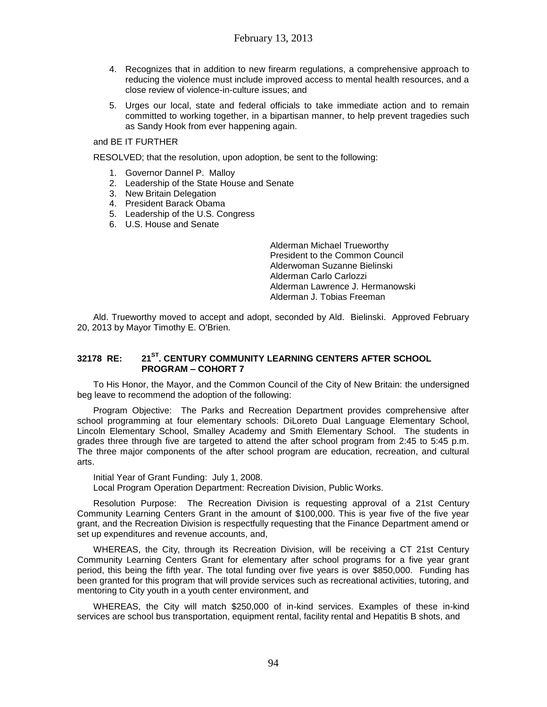- 4. Recognizes that in addition to new firearm regulations, a comprehensive approach to reducing the violence must include improved access to mental health resources, and a close review of violence-in-culture issues; and
- 5. Urges our local, state and federal officials to take immediate action and to remain committed to working together, in a bipartisan manner, to help prevent tragedies such as Sandy Hook from ever happening again.

and BE IT FURTHER

RESOLVED; that the resolution, upon adoption, be sent to the following:

- 1. Governor Dannel P. Malloy
- 2. Leadership of the State House and Senate
- 3. New Britain Delegation
- 4. President Barack Obama
- 5. Leadership of the U.S. Congress
- 6. U.S. House and Senate

Alderman Michael Trueworthy President to the Common Council Alderwoman Suzanne Bielinski Alderman Carlo Carlozzi Alderman Lawrence J. Hermanowski Alderman J. Tobias Freeman

Ald. Trueworthy moved to accept and adopt, seconded by Ald. Bielinski. Approved February 20, 2013 by Mayor Timothy E. O'Brien.

## **32178 RE: 21ST. CENTURY COMMUNITY LEARNING CENTERS AFTER SCHOOL PROGRAM – COHORT 7**

To His Honor, the Mayor, and the Common Council of the City of New Britain: the undersigned beg leave to recommend the adoption of the following:

Program Objective: The Parks and Recreation Department provides comprehensive after school programming at four elementary schools: DiLoreto Dual Language Elementary School, Lincoln Elementary School, Smalley Academy and Smith Elementary School. The students in grades three through five are targeted to attend the after school program from 2:45 to 5:45 p.m. The three major components of the after school program are education, recreation, and cultural arts.

Initial Year of Grant Funding: July 1, 2008. Local Program Operation Department: Recreation Division, Public Works.

Resolution Purpose: The Recreation Division is requesting approval of a 21st Century Community Learning Centers Grant in the amount of \$100,000. This is year five of the five year grant, and the Recreation Division is respectfully requesting that the Finance Department amend or set up expenditures and revenue accounts, and,

WHEREAS, the City, through its Recreation Division, will be receiving a CT 21st Century Community Learning Centers Grant for elementary after school programs for a five year grant period, this being the fifth year. The total funding over five years is over \$850,000. Funding has been granted for this program that will provide services such as recreational activities, tutoring, and mentoring to City youth in a youth center environment, and

WHEREAS, the City will match \$250,000 of in-kind services. Examples of these in-kind services are school bus transportation, equipment rental, facility rental and Hepatitis B shots, and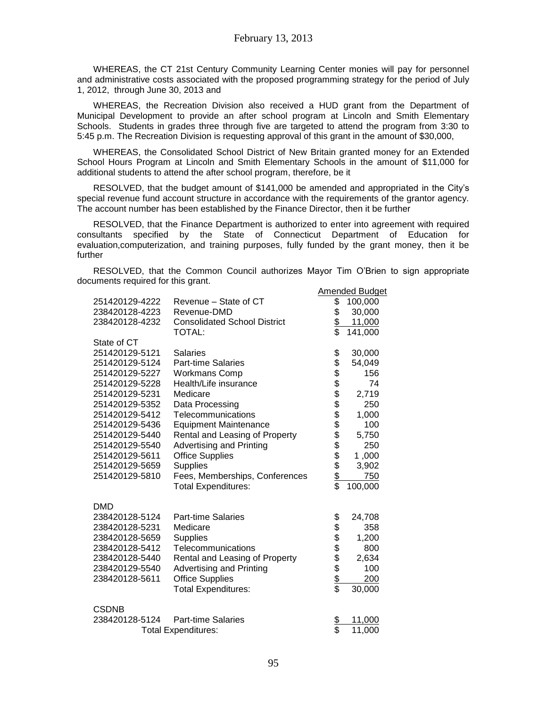WHEREAS, the CT 21st Century Community Learning Center monies will pay for personnel and administrative costs associated with the proposed programming strategy for the period of July 1, 2012, through June 30, 2013 and

WHEREAS, the Recreation Division also received a HUD grant from the Department of Municipal Development to provide an after school program at Lincoln and Smith Elementary Schools. Students in grades three through five are targeted to attend the program from 3:30 to 5:45 p.m. The Recreation Division is requesting approval of this grant in the amount of \$30,000,

WHEREAS, the Consolidated School District of New Britain granted money for an Extended School Hours Program at Lincoln and Smith Elementary Schools in the amount of \$11,000 for additional students to attend the after school program, therefore, be it

RESOLVED, that the budget amount of \$141,000 be amended and appropriated in the City's special revenue fund account structure in accordance with the requirements of the grantor agency. The account number has been established by the Finance Director, then it be further

RESOLVED, that the Finance Department is authorized to enter into agreement with required consultants specified by the State of Connecticut Department of Education for evaluation,computerization, and training purposes, fully funded by the grant money, then it be further

RESOLVED, that the Common Council authorizes Mayor Tim O'Brien to sign appropriate documents required for this grant.

|                |                                     |                               | Amended Budget |
|----------------|-------------------------------------|-------------------------------|----------------|
| 251420129-4222 | Revenue - State of CT               | \$                            | 100,000        |
| 238420128-4223 | Revenue-DMD                         | \$                            | 30,000         |
| 238420128-4232 | <b>Consolidated School District</b> | \$                            | 11,000         |
|                | TOTAL:                              | \$                            | 141,000        |
| State of CT    |                                     |                               |                |
| 251420129-5121 | <b>Salaries</b>                     |                               | 30,000         |
| 251420129-5124 | <b>Part-time Salaries</b>           | R\$\$\$\$\$\$\$\$\$\$\$\$\$\$ | 54,049         |
| 251420129-5227 | <b>Workmans Comp</b>                |                               | 156            |
| 251420129-5228 | Health/Life insurance               |                               | 74             |
| 251420129-5231 | Medicare                            |                               | 2,719          |
| 251420129-5352 | Data Processing                     |                               | 250            |
| 251420129-5412 | Telecommunications                  |                               | 1,000          |
| 251420129-5436 | <b>Equipment Maintenance</b>        |                               | 100            |
| 251420129-5440 | Rental and Leasing of Property      |                               | 5,750          |
| 251420129-5540 | <b>Advertising and Printing</b>     |                               | 250            |
| 251420129-5611 | <b>Office Supplies</b>              |                               | 1,000          |
| 251420129-5659 | Supplies                            |                               | 3,902          |
| 251420129-5810 | Fees, Memberships, Conferences      |                               | 750            |
|                | <b>Total Expenditures:</b>          | $\overline{\$}$               | 100,000        |
| <b>DMD</b>     |                                     |                               |                |
| 238420128-5124 | <b>Part-time Salaries</b>           |                               | 24,708         |
| 238420128-5231 | Medicare                            |                               | 358            |
| 238420128-5659 | <b>Supplies</b>                     |                               | 1,200          |
| 238420128-5412 | Telecommunications                  | ますままままま                       | 800            |
| 238420128-5440 | Rental and Leasing of Property      |                               | 2,634          |
| 238420129-5540 | <b>Advertising and Printing</b>     |                               | 100            |
| 238420128-5611 | <b>Office Supplies</b>              |                               | 200            |
|                | <b>Total Expenditures:</b>          |                               | 30,000         |
| <b>CSDNB</b>   |                                     |                               |                |
| 238420128-5124 | <b>Part-time Salaries</b>           |                               | 11,000         |
|                | <b>Total Expenditures:</b>          | <u>\$</u><br>\$               | 11,000         |
|                |                                     |                               |                |